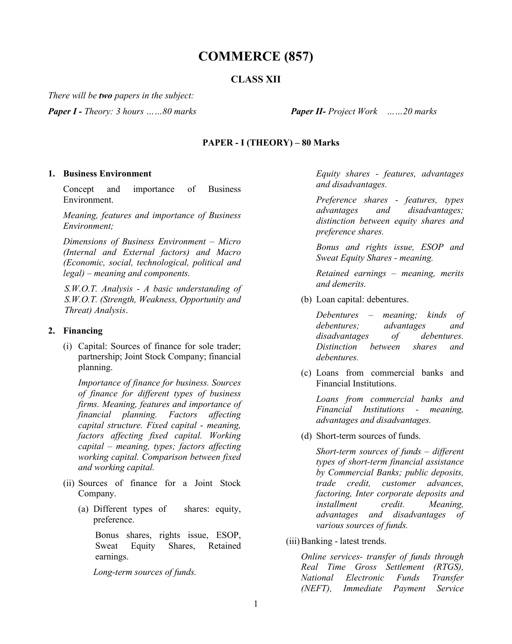## **COMMERCE (857)**

### **CLASS XII**

*There will be two papers in the subject:*

*Paper I - Theory: 3 hours ……80 marks Paper II- Project Work ……20 marks*

#### **PAPER - I (THEORY) – 80 Marks**

#### **1. Business Environment**

Concept and importance of Business Environment.

*Meaning, features and importance of Business Environment;* 

*Dimensions of Business Environment – Micro (Internal and External factors) and Macro (Economic, social, technological, political and legal) – meaning and components.*

*S.W.O.T. Analysis - A basic understanding of S.W.O.T. (Strength, Weakness, Opportunity and Threat) Analysis*.

#### **2. Financing**

(i) Capital: Sources of finance for sole trader; partnership; Joint Stock Company; financial planning.

*Importance of finance for business. Sources of finance for different types of business firms. Meaning, features and importance of financial planning. Factors affecting capital structure. Fixed capital - meaning, factors affecting fixed capital. Working capital – meaning, types; factors affecting working capital. Comparison between fixed and working capital.*

- (ii) Sources of finance for a Joint Stock Company.
	- (a) Different types of shares: equity, preference.

Bonus shares, rights issue, ESOP, Sweat Equity Shares, Retained earnings.

*Long-term sources of funds.*

*Equity shares - features, advantages and disadvantages.*

*Preference shares - features, types advantages and disadvantages; distinction between equity shares and preference shares.*

*Bonus and rights issue, ESOP and Sweat Equity Shares - meaning.*

*Retained earnings – meaning, merits and demerits.*

(b) Loan capital: debentures.

*Debentures – meaning; kinds of debentures; advantages and disadvantages of debentures. Distinction between shares and debentures.*

(c) Loans from commercial banks and Financial Institutions.

*Loans from commercial banks and Financial Institutions - meaning, advantages and disadvantages.*

(d) Short-term sources of funds.

*Short-term sources of funds – different types of short-term financial assistance by Commercial Banks; public deposits, trade credit, customer advances, factoring, Inter corporate deposits and installment credit. Meaning, advantages and disadvantages of various sources of funds.*

(iii)Banking - latest trends.

*Online services- transfer of funds through Real Time Gross Settlement (RTGS), National Electronic Funds Transfer (NEFT), Immediate Payment Service*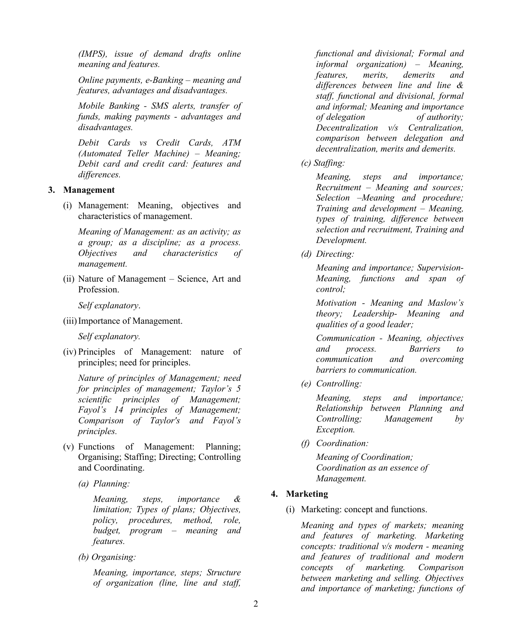*(IMPS), issue of demand drafts online meaning and features.*

*Online payments, e-Banking – meaning and features, advantages and disadvantages.*

*Mobile Banking - SMS alerts, transfer of funds, making payments - advantages and disadvantages.*

*Debit Cards vs Credit Cards, ATM (Automated Teller Machine) – Meaning; Debit card and credit card: features and differences.*

#### **3. Management**

(i) Management: Meaning, objectives and characteristics of management.

*Meaning of Management: as an activity; as a group; as a discipline; as a process. Objectives and characteristics of management.*

(ii) Nature of Management – Science, Art and Profession.

*Self explanatory*.

(iii)Importance of Management.

*Self explanatory.*

(iv) Principles of Management: nature of principles; need for principles.

*Nature of principles of Management; need for principles of management; Taylor's 5 scientific principles of Management; Fayol's 14 principles of Management; Comparison of Taylor's and Fayol's principles.* 

- (v) Functions of Management: Planning; Organising; Staffing; Directing; Controlling and Coordinating.
	- *(a) Planning:*

*Meaning, steps, importance & limitation; Types of plans; Objectives, policy, procedures, method, role, budget, program – meaning and features.*

*(b) Organising:* 

*Meaning, importance, steps; Structure of organization (line, line and staff,*  *functional and divisional; Formal and informal organization) – Meaning, features, merits, demerits and differences between line and line & staff, functional and divisional, formal and informal; Meaning and importance of delegation of authority; Decentralization v/s Centralization, comparison between delegation and decentralization, merits and demerits.*

*(c) Staffing:*

*Meaning, steps and importance; Recruitment – Meaning and sources; Selection –Meaning and procedure; Training and development – Meaning, types of training, difference between selection and recruitment, Training and Development.*

*(d) Directing:* 

*Meaning and importance; Supervision-Meaning, functions and span of control;*

*Motivation - Meaning and Maslow's theory; Leadership- Meaning and qualities of a good leader;*

*Communication - Meaning, objectives and process. Barriers to communication and overcoming barriers to communication.*

*(e) Controlling:* 

*Meaning, steps and importance; Relationship between Planning and Controlling; Management by Exception.*

*(f) Coordination:*

*Meaning of Coordination; Coordination as an essence of Management.*

#### **4. Marketing**

(i) Marketing: concept and functions.

*Meaning and types of markets; meaning and features of marketing. Marketing concepts: traditional v/s modern - meaning and features of traditional and modern concepts of marketing. Comparison between marketing and selling. Objectives and importance of marketing; functions of*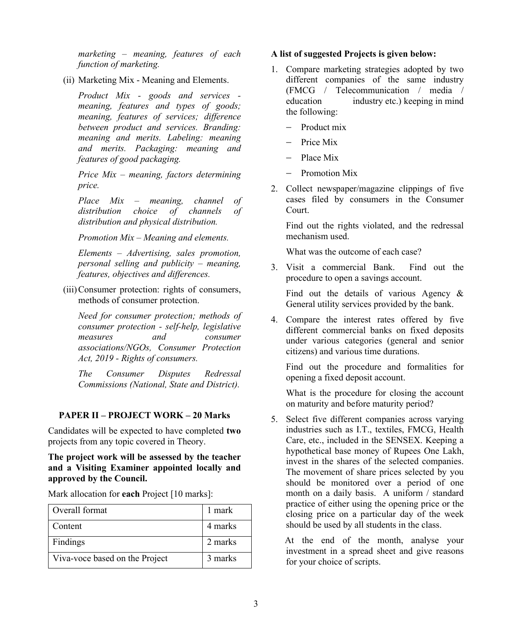*marketing – meaning, features of each function of marketing.*

(ii) Marketing Mix - Meaning and Elements.

*Product Mix - goods and services meaning, features and types of goods; meaning, features of services; difference between product and services. Branding: meaning and merits. Labeling: meaning and merits. Packaging: meaning and features of good packaging.*

*Price Mix – meaning, factors determining price.*

*Place Mix – meaning, channel of distribution choice of channels of distribution and physical distribution.*

*Promotion Mix – Meaning and elements.*

*Elements – Advertising, sales promotion, personal selling and publicity – meaning, features, objectives and differences.*

(iii)Consumer protection: rights of consumers, methods of consumer protection.

*Need for consumer protection; methods of consumer protection - self-help, legislative measures and consumer associations/NGOs, Consumer Protection Act, 2019 - Rights of consumers.*

*The Consumer Disputes Redressal Commissions (National, State and District).*

#### **PAPER II – PROJECT WORK – 20 Marks**

Candidates will be expected to have completed **two** projects from any topic covered in Theory.

#### **The project work will be assessed by the teacher and a Visiting Examiner appointed locally and approved by the Council.**

| Overall format                 | 1 mark  |
|--------------------------------|---------|
| Content                        | 4 marks |
| Findings                       | 2 marks |
| Viva-voce based on the Project | 3 marks |

Mark allocation for **each** Project [10 marks]:

#### **A list of suggested Projects is given below:**

- 1. Compare marketing strategies adopted by two different companies of the same industry (FMCG / Telecommunication / media / education industry etc.) keeping in mind the following:
	- Product mix
	- Price Mix
	- Place Mix
	- Promotion Mix
- 2. Collect newspaper/magazine clippings of five cases filed by consumers in the Consumer Court.

Find out the rights violated, and the redressal mechanism used.

What was the outcome of each case?

3. Visit a commercial Bank. Find out the procedure to open a savings account.

Find out the details of various Agency & General utility services provided by the bank.

4. Compare the interest rates offered by five different commercial banks on fixed deposits under various categories (general and senior citizens) and various time durations.

Find out the procedure and formalities for opening a fixed deposit account.

What is the procedure for closing the account on maturity and before maturity period?

5. Select five different companies across varying industries such as I.T., textiles, FMCG, Health Care, etc., included in the SENSEX. Keeping a hypothetical base money of Rupees One Lakh, invest in the shares of the selected companies. The movement of share prices selected by you should be monitored over a period of one month on a daily basis. A uniform / standard practice of either using the opening price or the closing price on a particular day of the week should be used by all students in the class.

 At the end of the month, analyse your investment in a spread sheet and give reasons for your choice of scripts.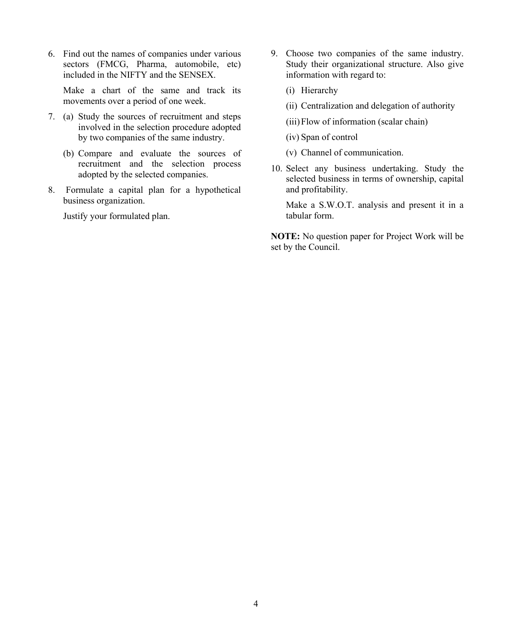6. Find out the names of companies under various sectors (FMCG, Pharma, automobile, etc) included in the NIFTY and the SENSEX.

Make a chart of the same and track its movements over a period of one week.

- 7. (a) Study the sources of recruitment and steps involved in the selection procedure adopted by two companies of the same industry.
	- (b) Compare and evaluate the sources of recruitment and the selection process adopted by the selected companies.
- 8. Formulate a capital plan for a hypothetical business organization.

Justify your formulated plan.

- 9. Choose two companies of the same industry. Study their organizational structure. Also give information with regard to:
	- (i) Hierarchy
	- (ii) Centralization and delegation of authority
	- (iii)Flow of information (scalar chain)
	- (iv) Span of control
	- (v) Channel of communication.
- 10. Select any business undertaking. Study the selected business in terms of ownership, capital and profitability.

Make a S.W.O.T. analysis and present it in a tabular form.

**NOTE:** No question paper for Project Work will be set by the Council.